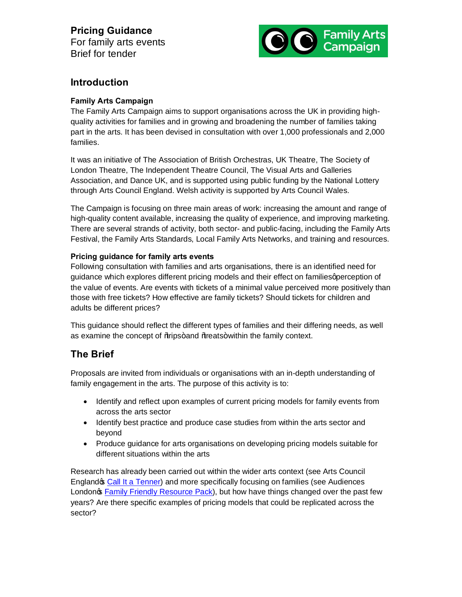# **Pricing Guidance**

For family arts events Brief for tender



### **Introduction**

#### **Family Arts Campaign**

The Family Arts Campaign aims to support organisations across the UK in providing highquality activities for families and in growing and broadening the number of families taking part in the arts. It has been devised in consultation with over 1,000 professionals and 2,000 families.

It was an initiative of The Association of British Orchestras, UK Theatre, The Society of London Theatre, The Independent Theatre Council, The Visual Arts and Galleries Association, and Dance UK, and is supported using public funding by the National Lottery through Arts Council England. Welsh activity is supported by Arts Council Wales.

The Campaign is focusing on three main areas of work: increasing the amount and range of high-quality content available, increasing the quality of experience, and improving marketing. There are several strands of activity, both sector- and public-facing, including the Family Arts Festival, the Family Arts Standards, Local Family Arts Networks, and training and resources.

#### **Pricing guidance for family arts events**

Following consultation with families and arts organisations, there is an identified need for guidance which explores different pricing models and their effect on families aperception of the value of events. Are events with tickets of a minimal value perceived more positively than those with free tickets? How effective are family tickets? Should tickets for children and adults be different prices?

This guidance should reflect the different types of families and their differing needs, as well as examine the concept of % tips+ and % teats+ within the family context.

## **The Brief**

Proposals are invited from individuals or organisations with an in-depth understanding of family engagement in the arts. The purpose of this activity is to:

- · Identify and reflect upon examples of current pricing models for family events from across the arts sector
- · Identify best practice and produce case studies from within the arts sector and beyond
- · Produce guidance for arts organisations on developing pricing models suitable for different situations within the arts

Research has already been carried out within the wider arts context (see Arts Council Englando: Call It a Tenner) and more specifically focusing on families (see Audiences Londong Family Friendly Resource Pack), but how have things changed over the past few years? Are there specific examples of pricing models that could be replicated across the sector?